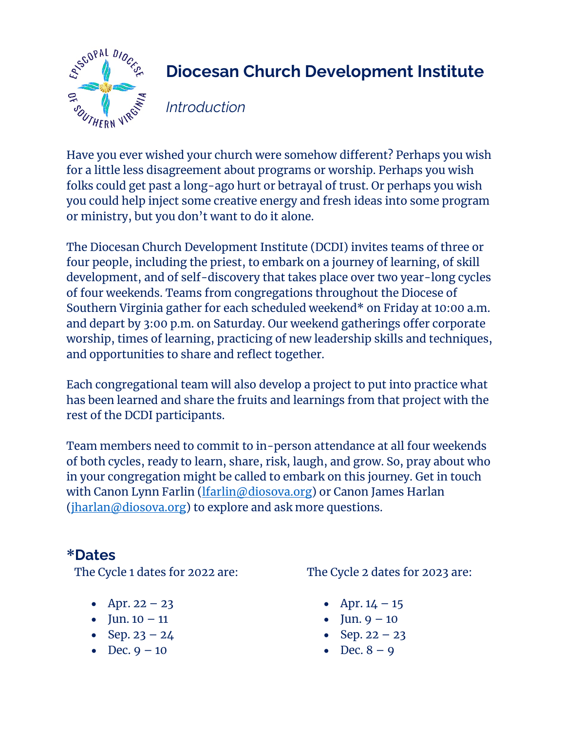

## **Diocesan Church Development Institute**

*Introduction*

Have you ever wished your church were somehow different? Perhaps you wish for a little less disagreement about programs or worship. Perhaps you wish folks could get past a long-ago hurt or betrayal of trust. Or perhaps you wish you could help inject some creative energy and fresh ideas into some program or ministry, but you don't want to do it alone.

The Diocesan Church Development Institute (DCDI) invites teams of three or four people, including the priest, to embark on a journey of learning, of skill development, and of self-discovery that takes place over two year-long cycles of four weekends. Teams from congregations throughout the Diocese of Southern Virginia gather for each scheduled weekend\* on Friday at 10:00 a.m. and depart by 3:00 p.m. on Saturday. Our weekend gatherings offer corporate worship, times of learning, practicing of new leadership skills and techniques, and opportunities to share and reflect together.

Each congregational team will also develop a project to put into practice what has been learned and share the fruits and learnings from that project with the rest of the DCDI participants.

Team members need to commit to in-person attendance at all four weekends of both cycles, ready to learn, share, risk, laugh, and grow. So, pray about who in your congregation might be called to embark on this journey. Get in touch with Canon Lynn Farlin (*lfarlin@diosova.org*) or Canon James Harlan  $(jharlan@diosova.org)$  to explore and ask more questions.

#### **\*Dates**

The Cycle 1 dates for 2022 are:

- Apr.  $22 23$
- Jun.  $10 11$
- Sep.  $23 24$
- Dec.  $9 10$

The Cycle 2 dates for 2023 are:

- Apr.  $14 15$
- Jun.  $9 10$
- Sep.  $22 23$
- Dec.  $8 9$